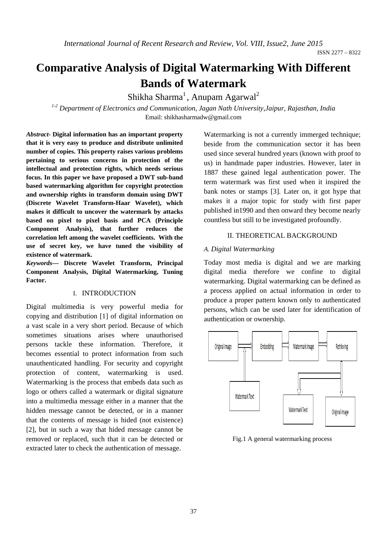ISSN 2277 – 8322

# **Comparative Analysis of Digital Watermarking With Different Bands of Watermark**

Shikha Sharma<sup>1</sup>, Anupam Agarwal<sup>2</sup>

*1-2 Department of Electronics and Communication, Jagan Nath University,Jaipur, Rajasthan, India*  Email: shikhasharmadw@gmail.com

*Abstract-* **Digital information has an important property that it is very easy to produce and distribute unlimited number of copies. This property raises various problems pertaining to serious concerns in protection of the intellectual and protection rights, which needs serious focus. In this paper we have proposed a DWT sub-band based watermarking algorithm for copyright protection and ownership rights in transform domain using DWT (Discrete Wavelet Transform-Haar Wavelet), which makes it difficult to uncover the watermark by attacks based on pixel to pixel basis and PCA (Principle Component Analysis), that further reduces the correlation left among the wavelet coefficients. With the use of secret key, we have tuned the visibility of existence of watermark.**

*Keywords***— Discrete Wavelet Transform, Principal Component Analysis, Digital Watermarking, Tuning Factor.** 

#### I. INTRODUCTION

Digital multimedia is very powerful media for copying and distribution [1] of digital information on a vast scale in a very short period. Because of which sometimes situations arises where unauthorised persons tackle these information. Therefore, it becomes essential to protect information from such unauthenticated handling. For security and copyright protection of content, watermarking is used. Watermarking is the process that embeds data such as logo or others called a watermark or digital signature into a multimedia message either in a manner that the hidden message cannot be detected, or in a manner that the contents of message is hided (not existence) [2], but in such a way that hided message cannot be removed or replaced, such that it can be detected or extracted later to check the authentication of message.

Watermarking is not a currently immerged technique: beside from the communication sector it has been used since several hundred years (known with proof to us) in handmade paper industries. However, later in 1887 these gained legal authentication power. The term watermark was first used when it inspired the bank notes or stamps [3]. Later on, it got hype that makes it a major topic for study with first paper published in1990 and then onward they become nearly countless but still to be investigated profoundly.

#### II. THEORETICAL BACKGROUND

#### *A. Digital Watermarking*

Today most media is digital and we are marking digital media therefore we confine to digital watermarking. Digital watermarking can be defined as a process applied on actual information in order to produce a proper pattern known only to authenticated persons, which can be used later for identification of authentication or ownership.



Fig.1 A general watermarking process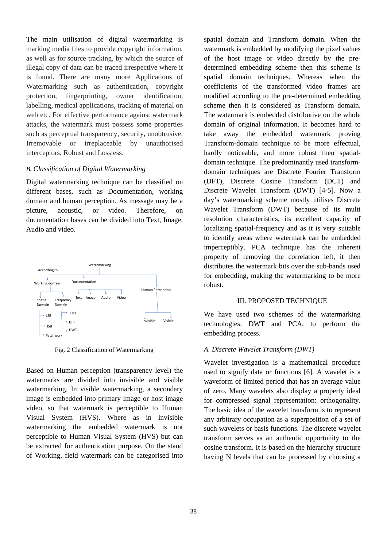The main utilisation of digital watermarking is marking media files to provide copyright information, as well as for source tracking, by which the source of illegal copy of data can be traced irrespective where it is found. There are many more Applications of Watermarking such as authentication, copyright protection, fingerprinting, owner identification, labelling, medical applications, tracking of material on web etc. For effective performance against watermark attacks, the watermark must possess some properties such as perceptual transparency, security, unobtrusive, Irremovable or irreplaceable by unauthorised interceptors, Robust and Lossless.

### *B. Classification of Digital Watermarking*

Digital watermarking technique can be classified on different bases, such as Documentation, working domain and human perception. As message may be a picture, acoustic, or video. Therefore, on documentation bases can be divided into Text, Image, Audio and video.



Fig. 2 Classification of Watermarking

Based on Human perception (transparency level) the watermarks are divided into invisible and visible watermarking. In visible watermarking, a secondary image is embedded into primary image or host image video, so that watermark is perceptible to Human Visual System (HVS). Where as in invisible watermarking the embedded watermark is not perceptible to Human Visual System (HVS) but can be extracted for authentication purpose. On the stand of Working, field watermark can be categorised into

spatial domain and Transform domain. When the watermark is embedded by modifying the pixel values of the host image or video directly by the predetermined embedding scheme then this scheme is spatial domain techniques. Whereas when the coefficients of the transformed video frames are modified according to the pre-determined embedding scheme then it is considered as Transform domain. The watermark is embedded distributive on the whole domain of original information. It becomes hard to take away the embedded watermark proving Transform-domain technique to be more effectual, hardly noticeable, and more robust then spatialdomain technique. The predominantly used transformdomain techniques are Discrete Fourier Transform (DFT), Discrete Cosine Transform (DCT) and Discrete Wavelet Transform (DWT) [4-5]. Now a day's watermarking scheme mostly utilises Discrete Wavelet Transform (DWT) because of its multi resolution characteristics, its excellent capacity of localizing spatial-frequency and as it is very suitable to identify areas where watermark can be embedded imperceptibly. PCA technique has the inherent property of removing the correlation left, it then distributes the watermark bits over the sub-bands used for embedding, making the watermarking to be more robust.

#### III. PROPOSED TECHNIQUE

We have used two schemes of the watermarking technologies: DWT and PCA, to perform the embedding process.

## *A. Discrete Wavelet Transform (DWT)*

Wavelet investigation is a mathematical procedure used to signify data or functions [6]. A wavelet is a waveform of limited period that has an average value of zero. Many wavelets also display a property ideal for compressed signal representation: orthogonality. The basic idea of the wavelet transform is to represent any arbitrary occupation as a superposition of a set of such wavelets or basis functions. The discrete wavelet transform serves as an authentic opportunity to the cosine transform. It is based on the hierarchy structure having N levels that can be processed by choosing a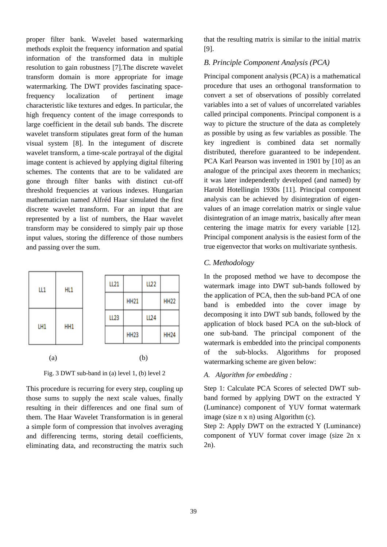proper filter bank. Wavelet based watermarking methods exploit the frequency information and spatial information of the transformed data in multiple resolution to gain robustness [7].The discrete wavelet transform domain is more appropriate for image watermarking. The DWT provides fascinating spacefrequency localization of pertinent image characteristic like textures and edges. In particular, the high frequency content of the image corresponds to large coefficient in the detail sub bands. The discrete wavelet transform stipulates great form of the human visual system [8]. In the integument of discrete wavelet transform, a time-scale portrayal of the digital image content is achieved by applying digital filtering schemes. The contents that are to be validated are gone through filter banks with distinct cut-off threshold frequencies at various indexes. Hungarian mathematician named Alfréd Haar simulated the first discrete wavelet transform. For an input that are represented by a list of numbers, the Haar wavelet transform may be considered to simply pair up those input values, storing the difference of those numbers and passing over the sum.

| LL1<br>LH1 | HL1<br>HH1 |  | LL21        |                  | LL22 |             |
|------------|------------|--|-------------|------------------|------|-------------|
|            |            |  |             | <b>HH21</b>      |      | <b>HH22</b> |
|            |            |  | <b>LL23</b> |                  | LL24 |             |
|            |            |  |             | HH <sub>23</sub> |      | <b>HH24</b> |
| (a)        |            |  | (b)         |                  |      |             |

Fig. 3 DWT sub-band in (a) level 1, (b) level 2

This procedure is recurring for every step, coupling up those sums to supply the next scale values, finally resulting in their differences and one final sum of them. The Haar Wavelet Transformation is in general a simple form of compression that involves averaging and differencing terms, storing detail coefficients, eliminating data, and reconstructing the matrix such

that the resulting matrix is similar to the initial matrix [9].

## *B. Principle Component Analysis (PCA)*

Principal component analysis (PCA) is a mathematical procedure that uses an orthogonal transformation to convert a set of observations of possibly correlated variables into a set of values of uncorrelated variables called principal components. Principal component is a way to picture the structure of the data as completely as possible by using as few variables as possible. The key ingredient is combined data set normally distributed, therefore guaranteed to be independent. PCA Karl Pearson was invented in 1901 by [10] as an analogue of the principal axes theorem in mechanics; it was later independently developed (and named) by Harold Hotellingin 1930s [11]. Principal component analysis can be achieved by disintegration of eigenvalues of an image correlation matrix or single value disintegration of an image matrix, basically after mean centering the image matrix for every variable [12]. Principal component analysis is the easiest form of the true eigenvector that works on multivariate synthesis.

## *C. Methodology*

In the proposed method we have to decompose the watermark image into DWT sub-bands followed by the application of PCA, then the sub-band PCA of one band is embedded into the cover image by decomposing it into DWT sub bands, followed by the application of block based PCA on the sub-block of one sub-band. The principal component of the watermark is embedded into the principal components of the sub-blocks. Algorithms for proposed watermarking scheme are given below:

#### *A. Algorithm for embedding :*

Step 1: Calculate PCA Scores of selected DWT subband formed by applying DWT on the extracted Y (Luminance) component of YUV format watermark image (size n x n) using Algorithm (c).

Step 2: Apply DWT on the extracted Y (Luminance) component of YUV format cover image (size 2n x 2n).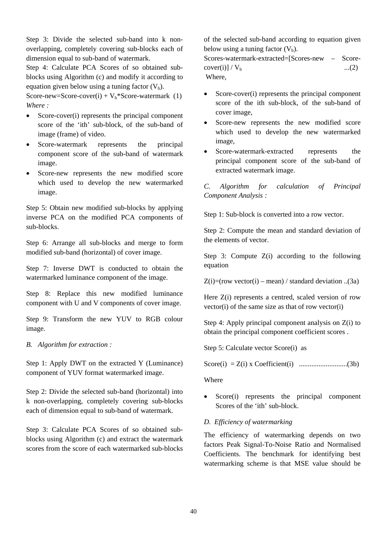Step 3: Divide the selected sub-band into k nonoverlapping, completely covering sub-blocks each of dimension equal to sub-band of watermark.

Step 4: Calculate PCA Scores of so obtained subblocks using Algorithm (c) and modify it according to equation given below using a tuning factor  $(V<sub>b</sub>)$ .

Score-new=Score-cover(i) +  $V_b$ \*Score-watermark (1) *Where :* 

- Score-cover(i) represents the principal component score of the 'ith' sub-block, of the sub-band of image (frame) of video.
- Score-watermark represents the principal component score of the sub-band of watermark image.
- Score-new represents the new modified score which used to develop the new watermarked image.

Step 5: Obtain new modified sub-blocks by applying inverse PCA on the modified PCA components of sub-blocks.

Step 6: Arrange all sub-blocks and merge to form modified sub-band (horizontal) of cover image.

Step 7: Inverse DWT is conducted to obtain the watermarked luminance component of the image.

Step 8: Replace this new modified luminance component with U and V components of cover image.

Step 9: Transform the new YUV to RGB colour image.

*B. Algorithm for extraction :* 

Step 1: Apply DWT on the extracted Y (Luminance) component of YUV format watermarked image.

Step 2: Divide the selected sub-band (horizontal) into k non-overlapping, completely covering sub-blocks each of dimension equal to sub-band of watermark.

Step 3: Calculate PCA Scores of so obtained subblocks using Algorithm (c) and extract the watermark scores from the score of each watermarked sub-blocks

of the selected sub-band according to equation given below using a tuning factor  $(V<sub>b</sub>)$ .

Scores-watermark-extracted=[Scores-new – Score $cover(i) \mid V_{b}$  ...(2) Where,

- Score-cover(i) represents the principal component score of the ith sub-block, of the sub-band of cover image,
- Score-new represents the new modified score which used to develop the new watermarked image,
- Score-watermark-extracted represents the principal component score of the sub-band of extracted watermark image.

*C. Algorithm for calculation of Principal Component Analysis :* 

Step 1: Sub-block is converted into a row vector.

Step 2: Compute the mean and standard deviation of the elements of vector.

Step 3: Compute  $Z(i)$  according to the following equation

 $Z(i)=(row vector(i) - mean) / standard deviation$ ...(3a)

Here  $Z(i)$  represents a centred, scaled version of row vector(i) of the same size as that of row vector(i)

Step 4: Apply principal component analysis on Z(i) to obtain the principal component coefficient scores .

Step 5: Calculate vector Score(i) as

Score(i) = Z(i) x Coefficient(i) ...........................(3b)

Where

Score(i) represents the principal component Scores of the 'ith' sub-block.

# *D. Efficiency of watermarking*

The efficiency of watermarking depends on two factors Peak Signal-To-Noise Ratio and Normalised Coefficients. The benchmark for identifying best watermarking scheme is that MSE value should be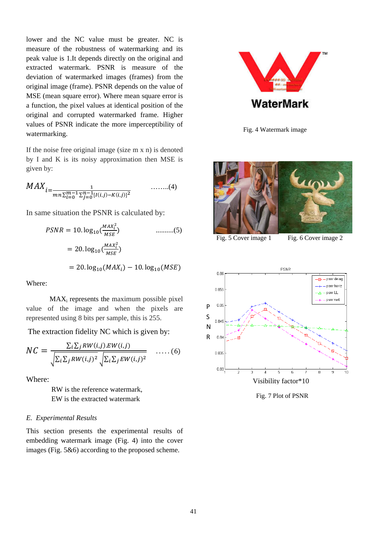lower and the NC value must be greater. NC is measure of the robustness of watermarking and its peak value is 1.It depends directly on the original and extracted watermark. PSNR is measure of the deviation of watermarked images (frames) from the original image (frame). PSNR depends on the value of MSE (mean square error). Where mean square error is a function, the pixel values at identical position of the original and corrupted watermarked frame. Higher values of PSNR indicate the more imperceptibility of watermarking.

If the noise free original image (size m x n) is denoted by I and K is its noisy approximation then MSE is given by:

$$
MAX_{i=\frac{1}{mn\sum_{i=0}^{m-1}\sum_{j=0}^{n-1}[I(i,j)-K(i,j)]^{2}}}
$$
...(4)

In same situation the PSNR is calculated by:

$$
PSNR = 10. \log_{10} \left( \frac{MAX_i^2}{MSE} \right) \qquad \qquad \dots \dots \dots \dots (5)
$$

$$
= 20. \log_{10} \left( \frac{MAX_i^2}{MSE} \right)
$$

$$
= 20. \log_{10} (MAX_i) - 10. \log_{10} (MSE)
$$

Where:

MAXi represents the maximum possible pixel value of the image and when the pixels are represented using 8 bits per sample, this is 255.

The extraction fidelity NC which is given by:

$$
NC = \frac{\sum_{i} \sum_{j} RW(i,j).EW(i,j)}{\sqrt{\sum_{i} \sum_{j} RW(i,j)^2} \sqrt{\sum_{i} \sum_{j} EW(i,j)^2}} \quad \ldots \ldots (6)
$$

Where:

 RW is the reference watermark, EW is the extracted watermark

## *E. Experimental Results*

This section presents the experimental results of embedding watermark image (Fig. 4) into the cover images (Fig. 5&6) according to the proposed scheme.



Fig. 4 Watermark image



Fig. 5 Cover image 1 Fig. 6 Cover image 2



Fig. 7 Plot of PSNR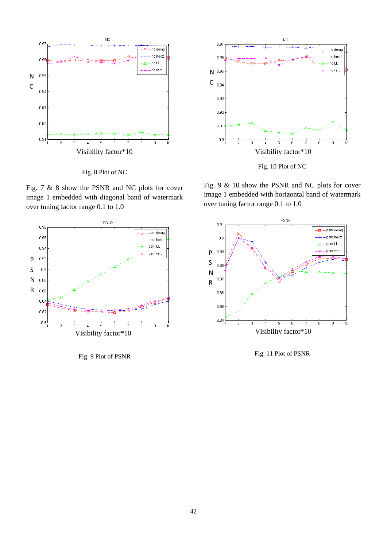

Fig. 8 Plot of NC

Fig. 7 & 8 show the PSNR and NC plots for cover image 1 embedded with diagonal band of watermark over tuning factor range 0.1 to 1.0



Fig. 9 Plot of PSNR



Fig. 10 Plot of NC

Fig. 9 & 10 show the PSNR and NC plots for cover image 1 embedded with horizontal band of watermark over tuning factor range 0.1 to 1.0



Fig. 11 Plot of PSNR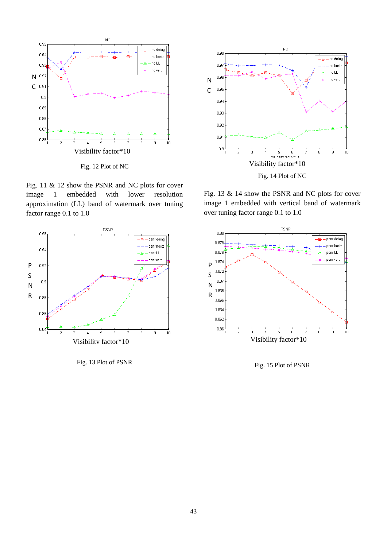

Fig. 11 & 12 show the PSNR and NC plots for cover image 1 embedded with lower resolution approximation (LL) band of watermark over tuning factor range 0.1 to 1.0



Fig. 13 Plot of PSNR



Fig. 13 & 14 show the PSNR and NC plots for cover image 1 embedded with vertical band of watermark over tuning factor range 0.1 to 1.0



Fig. 15 Plot of PSNR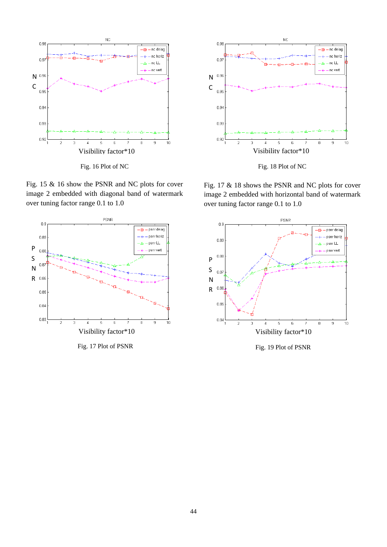

Fig. 16 Plot of NC

Fig. 15 & 16 show the PSNR and NC plots for cover image 2 embedded with diagonal band of watermark over tuning factor range 0.1 to 1.0



Fig. 17 Plot of PSNR



Fig. 18 Plot of NC

Fig. 17 & 18 shows the PSNR and NC plots for cover image 2 embedded with horizontal band of watermark over tuning factor range 0.1 to 1.0



Fig. 19 Plot of PSNR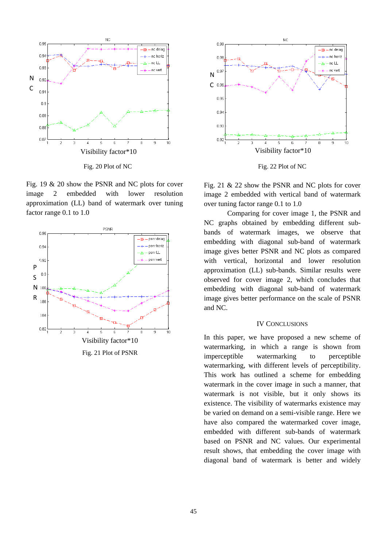

Fig. 19 & 20 show the PSNR and NC plots for cover image 2 embedded with lower resolution approximation (LL) band of watermark over tuning factor range 0.1 to 1.0





Fig. 22 Plot of NC

Fig. 21 & 22 show the PSNR and NC plots for cover image 2 embedded with vertical band of watermark over tuning factor range 0.1 to 1.0

Comparing for cover image 1, the PSNR and NC graphs obtained by embedding different subbands of watermark images, we observe that embedding with diagonal sub-band of watermark image gives better PSNR and NC plots as compared with vertical, horizontal and lower resolution approximation (LL) sub-bands. Similar results were observed for cover image 2, which concludes that embedding with diagonal sub-band of watermark image gives better performance on the scale of PSNR and NC.

#### IV CONCLUSIONS

In this paper, we have proposed a new scheme of watermarking, in which a range is shown from imperceptible watermarking to perceptible watermarking, with different levels of perceptibility. This work has outlined a scheme for embedding watermark in the cover image in such a manner, that watermark is not visible, but it only shows its existence. The visibility of watermarks existence may be varied on demand on a semi-visible range. Here we have also compared the watermarked cover image, embedded with different sub-bands of watermark based on PSNR and NC values. Our experimental result shows, that embedding the cover image with diagonal band of watermark is better and widely